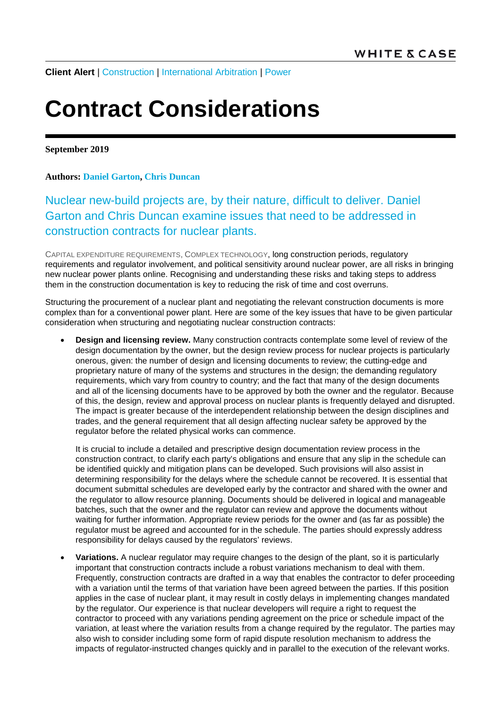**Client Alert** | [Construction](https://www.whitecase.com/law/practices/construction) | [International Arbitration](https://www.whitecase.com/law/practices/international-arbitration) | [Power](https://www.whitecase.com/law/industries/power)

## **Contract Considerations**

**September 2019**

## **Authors: [Daniel Garton,](https://www.whitecase.com/people/daniel-garton) [Chris Duncan](https://www.whitecase.com/people/chris-duncan)**

Nuclear new-build projects are, by their nature, difficult to deliver. Daniel Garton and Chris Duncan examine issues that need to be addressed in construction contracts for nuclear plants.

CAPITAL EXPENDITURE REQUIREMENTS, COMPLEX TECHNOLOGY, long construction periods, regulatory requirements and regulator involvement, and political sensitivity around nuclear power, are all risks in bringing new nuclear power plants online. Recognising and understanding these risks and taking steps to address them in the construction documentation is key to reducing the risk of time and cost overruns.

Structuring the procurement of a nuclear plant and negotiating the relevant construction documents is more complex than for a conventional power plant. Here are some of the key issues that have to be given particular consideration when structuring and negotiating nuclear construction contracts:

• **Design and licensing review.** Many construction contracts contemplate some level of review of the design documentation by the owner, but the design review process for nuclear projects is particularly onerous, given: the number of design and licensing documents to review; the cutting-edge and proprietary nature of many of the systems and structures in the design; the demanding regulatory requirements, which vary from country to country; and the fact that many of the design documents and all of the licensing documents have to be approved by both the owner and the regulator. Because of this, the design, review and approval process on nuclear plants is frequently delayed and disrupted. The impact is greater because of the interdependent relationship between the design disciplines and trades, and the general requirement that all design affecting nuclear safety be approved by the regulator before the related physical works can commence.

It is crucial to include a detailed and prescriptive design documentation review process in the construction contract, to clarify each party's obligations and ensure that any slip in the schedule can be identified quickly and mitigation plans can be developed. Such provisions will also assist in determining responsibility for the delays where the schedule cannot be recovered. It is essential that document submittal schedules are developed early by the contractor and shared with the owner and the regulator to allow resource planning. Documents should be delivered in logical and manageable batches, such that the owner and the regulator can review and approve the documents without waiting for further information. Appropriate review periods for the owner and (as far as possible) the regulator must be agreed and accounted for in the schedule. The parties should expressly address responsibility for delays caused by the regulators' reviews.

• **Variations.** A nuclear regulator may require changes to the design of the plant, so it is particularly important that construction contracts include a robust variations mechanism to deal with them. Frequently, construction contracts are drafted in a way that enables the contractor to defer proceeding with a variation until the terms of that variation have been agreed between the parties. If this position applies in the case of nuclear plant, it may result in costly delays in implementing changes mandated by the regulator. Our experience is that nuclear developers will require a right to request the contractor to proceed with any variations pending agreement on the price or schedule impact of the variation, at least where the variation results from a change required by the regulator. The parties may also wish to consider including some form of rapid dispute resolution mechanism to address the impacts of regulator-instructed changes quickly and in parallel to the execution of the relevant works.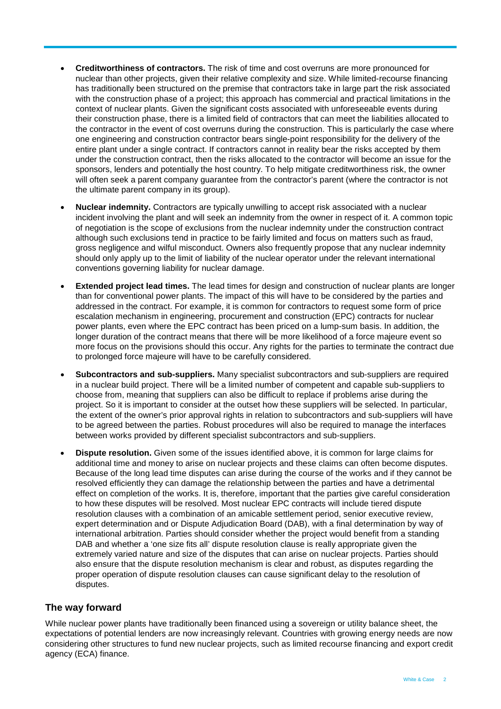- **Creditworthiness of contractors.** The risk of time and cost overruns are more pronounced for nuclear than other projects, given their relative complexity and size. While limited-recourse financing has traditionally been structured on the premise that contractors take in large part the risk associated with the construction phase of a project; this approach has commercial and practical limitations in the context of nuclear plants. Given the significant costs associated with unforeseeable events during their construction phase, there is a limited field of contractors that can meet the liabilities allocated to the contractor in the event of cost overruns during the construction. This is particularly the case where one engineering and construction contractor bears single-point responsibility for the delivery of the entire plant under a single contract. If contractors cannot in reality bear the risks accepted by them under the construction contract, then the risks allocated to the contractor will become an issue for the sponsors, lenders and potentially the host country. To help mitigate creditworthiness risk, the owner will often seek a parent company guarantee from the contractor's parent (where the contractor is not the ultimate parent company in its group).
- **Nuclear indemnity.** Contractors are typically unwilling to accept risk associated with a nuclear incident involving the plant and will seek an indemnity from the owner in respect of it. A common topic of negotiation is the scope of exclusions from the nuclear indemnity under the construction contract although such exclusions tend in practice to be fairly limited and focus on matters such as fraud, gross negligence and wilful misconduct. Owners also frequently propose that any nuclear indemnity should only apply up to the limit of liability of the nuclear operator under the relevant international conventions governing liability for nuclear damage.
- **Extended project lead times.** The lead times for design and construction of nuclear plants are longer than for conventional power plants. The impact of this will have to be considered by the parties and addressed in the contract. For example, it is common for contractors to request some form of price escalation mechanism in engineering, procurement and construction (EPC) contracts for nuclear power plants, even where the EPC contract has been priced on a lump-sum basis. In addition, the longer duration of the contract means that there will be more likelihood of a force majeure event so more focus on the provisions should this occur. Any rights for the parties to terminate the contract due to prolonged force majeure will have to be carefully considered.
- **Subcontractors and sub-suppliers.** Many specialist subcontractors and sub-suppliers are required in a nuclear build project. There will be a limited number of competent and capable sub-suppliers to choose from, meaning that suppliers can also be difficult to replace if problems arise during the project. So it is important to consider at the outset how these suppliers will be selected. In particular, the extent of the owner's prior approval rights in relation to subcontractors and sub-suppliers will have to be agreed between the parties. Robust procedures will also be required to manage the interfaces between works provided by different specialist subcontractors and sub-suppliers.
- **Dispute resolution.** Given some of the issues identified above, it is common for large claims for additional time and money to arise on nuclear projects and these claims can often become disputes. Because of the long lead time disputes can arise during the course of the works and if they cannot be resolved efficiently they can damage the relationship between the parties and have a detrimental effect on completion of the works. It is, therefore, important that the parties give careful consideration to how these disputes will be resolved. Most nuclear EPC contracts will include tiered dispute resolution clauses with a combination of an amicable settlement period, senior executive review, expert determination and or Dispute Adjudication Board (DAB), with a final determination by way of international arbitration. Parties should consider whether the project would benefit from a standing DAB and whether a 'one size fits all' dispute resolution clause is really appropriate given the extremely varied nature and size of the disputes that can arise on nuclear projects. Parties should also ensure that the dispute resolution mechanism is clear and robust, as disputes regarding the proper operation of dispute resolution clauses can cause significant delay to the resolution of disputes.

## **The way forward**

While nuclear power plants have traditionally been financed using a sovereign or utility balance sheet, the expectations of potential lenders are now increasingly relevant. Countries with growing energy needs are now considering other structures to fund new nuclear projects, such as limited recourse financing and export credit agency (ECA) finance.